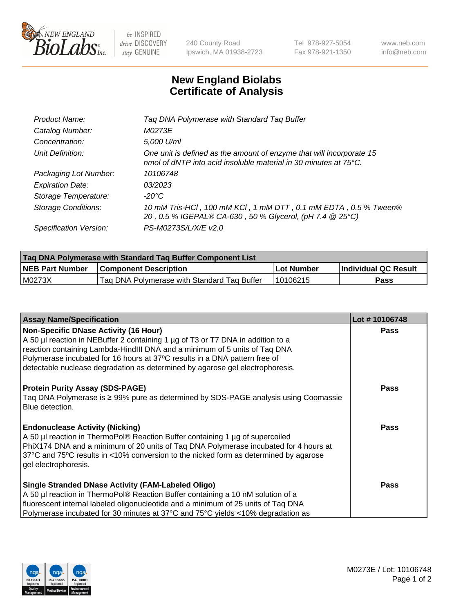

 $be$  INSPIRED drive DISCOVERY stay GENUINE

240 County Road Ipswich, MA 01938-2723 Tel 978-927-5054 Fax 978-921-1350 www.neb.com info@neb.com

## **New England Biolabs Certificate of Analysis**

| Tag DNA Polymerase with Standard Tag Buffer                                                                                                        |
|----------------------------------------------------------------------------------------------------------------------------------------------------|
| M0273E                                                                                                                                             |
| 5,000 U/ml                                                                                                                                         |
| One unit is defined as the amount of enzyme that will incorporate 15<br>nmol of dNTP into acid insoluble material in 30 minutes at $75^{\circ}$ C. |
| 10106748                                                                                                                                           |
| 03/2023                                                                                                                                            |
| $-20^{\circ}$ C                                                                                                                                    |
| 10 mM Tris-HCl, 100 mM KCl, 1 mM DTT, 0.1 mM EDTA, 0.5 % Tween®<br>20, 0.5 % IGEPAL® CA-630, 50 % Glycerol, (pH 7.4 @ 25°C)                        |
| PS-M0273S/L/X/E v2.0                                                                                                                               |
|                                                                                                                                                    |

| Tag DNA Polymerase with Standard Tag Buffer Component List |                                             |              |                      |  |  |
|------------------------------------------------------------|---------------------------------------------|--------------|----------------------|--|--|
| <b>NEB Part Number</b>                                     | <b>Component Description</b>                | l Lot Number | Individual QC Result |  |  |
| M0273X                                                     | Tag DNA Polymerase with Standard Tag Buffer | 10106215     | Pass                 |  |  |

| <b>Assay Name/Specification</b>                                                                                                                                                                                                                                                                                                                                              | Lot #10106748 |
|------------------------------------------------------------------------------------------------------------------------------------------------------------------------------------------------------------------------------------------------------------------------------------------------------------------------------------------------------------------------------|---------------|
| <b>Non-Specific DNase Activity (16 Hour)</b><br>A 50 µl reaction in NEBuffer 2 containing 1 µg of T3 or T7 DNA in addition to a<br>reaction containing Lambda-HindIII DNA and a minimum of 5 units of Taq DNA<br>Polymerase incubated for 16 hours at 37°C results in a DNA pattern free of<br>detectable nuclease degradation as determined by agarose gel electrophoresis. | <b>Pass</b>   |
| <b>Protein Purity Assay (SDS-PAGE)</b><br>Taq DNA Polymerase is ≥ 99% pure as determined by SDS-PAGE analysis using Coomassie<br>Blue detection.                                                                                                                                                                                                                             | <b>Pass</b>   |
| <b>Endonuclease Activity (Nicking)</b><br>A 50 µl reaction in ThermoPol® Reaction Buffer containing 1 µg of supercoiled<br>PhiX174 DNA and a minimum of 20 units of Tag DNA Polymerase incubated for 4 hours at<br>37°C and 75°C results in <10% conversion to the nicked form as determined by agarose<br>gel electrophoresis.                                              | <b>Pass</b>   |
| <b>Single Stranded DNase Activity (FAM-Labeled Oligo)</b><br>A 50 µl reaction in ThermoPol® Reaction Buffer containing a 10 nM solution of a<br>fluorescent internal labeled oligonucleotide and a minimum of 25 units of Taq DNA<br>Polymerase incubated for 30 minutes at 37°C and 75°C yields <10% degradation as                                                         | <b>Pass</b>   |